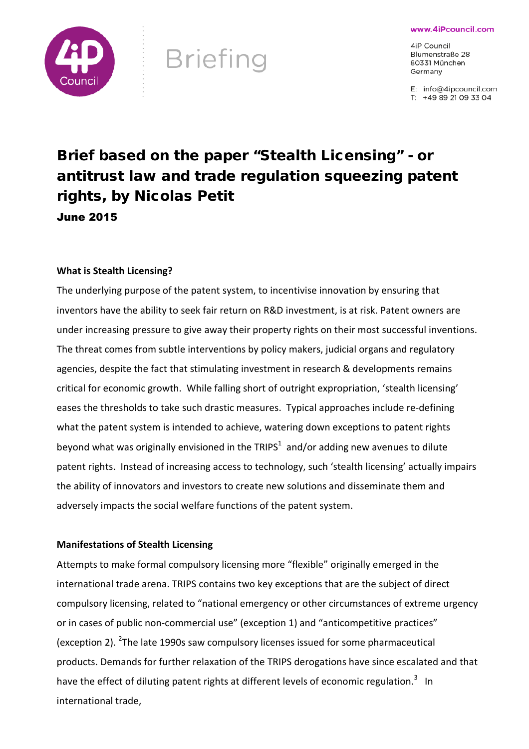www.4iPcouncil.com



# **Briefing**

4iP Council Blumenstraße 28 80331 München Germany

E: info@4ipcouncil.com T: +49 89 21 09 33 04

# Brief based on the paper "Stealth Licensing" - or antitrust law and trade regulation squeezing patent rights, by Nicolas Petit June 2015

# **What is Stealth Licensing?**

The underlying purpose of the patent system, to incentivise innovation by ensuring that inventors have the ability to seek fair return on R&D investment, is at risk. Patent owners are under increasing pressure to give away their property rights on their most successful inventions. The threat comes from subtle interventions by policy makers, judicial organs and regulatory agencies, despite the fact that stimulating investment in research & developments remains critical for economic growth. While falling short of outright expropriation, 'stealth licensing' eases the thresholds to take such drastic measures. Typical approaches include re-defining what the patent system is intended to achieve, watering down exceptions to patent rights beyond what was originally envisioned in the TRIPS<sup>1</sup> and/or adding new avenues to dilute patent rights. Instead of increasing access to technology, such 'stealth licensing' actually impairs the ability of innovators and investors to create new solutions and disseminate them and adversely impacts the social welfare functions of the patent system.

# **Manifestations of Stealth Licensing**

Attempts to make formal compulsory licensing more "flexible" originally emerged in the international trade arena. TRIPS contains two key exceptions that are the subject of direct compulsory licensing, related to "national emergency or other circumstances of extreme urgency or in cases of public non-commercial use" (exception 1) and "anticompetitive practices" (exception 2). <sup>2</sup>The late 1990s saw compulsory licenses issued for some pharmaceutical products. Demands for further relaxation of the TRIPS derogations have since escalated and that have the effect of diluting patent rights at different levels of economic regulation.<sup>3</sup> In international trade,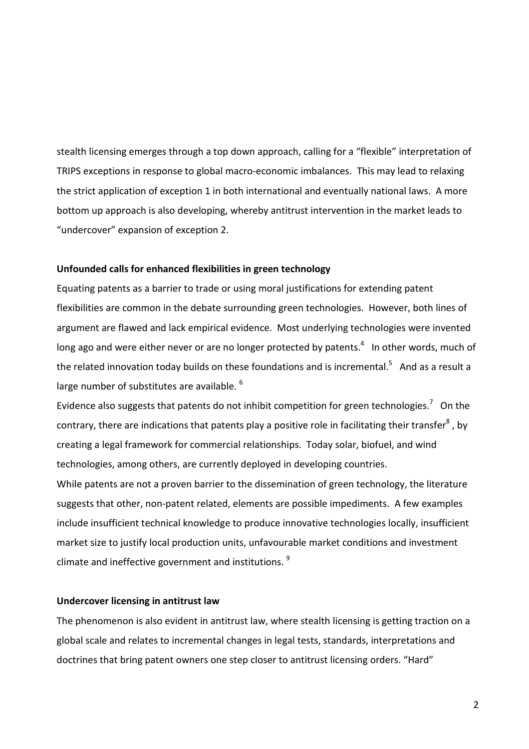stealth licensing emerges through a top down approach, calling for a "flexible" interpretation of TRIPS exceptions in response to global macro-economic imbalances. This may lead to relaxing the strict application of exception 1 in both international and eventually national laws. A more bottom up approach is also developing, whereby antitrust intervention in the market leads to "undercover" expansion of exception 2.

#### **Unfounded calls for enhanced flexibilities in green technology**

Equating patents as a barrier to trade or using moral justifications for extending patent flexibilities are common in the debate surrounding green technologies. However, both lines of argument are flawed and lack empirical evidence. Most underlying technologies were invented long ago and were either never or are no longer protected by patents. $4$  In other words, much of the related innovation today builds on these foundations and is incremental.<sup>5</sup> And as a result a large number of substitutes are available. <sup>6</sup>

Evidence also suggests that patents do not inhibit competition for green technologies.<sup>7</sup> On the contrary, there are indications that patents play a positive role in facilitating their transfer<sup>8</sup>, by creating a legal framework for commercial relationships. Today solar, biofuel, and wind technologies, among others, are currently deployed in developing countries.

While patents are not a proven barrier to the dissemination of green technology, the literature suggests that other, non-patent related, elements are possible impediments. A few examples include insufficient technical knowledge to produce innovative technologies locally, insufficient market size to justify local production units, unfavourable market conditions and investment climate and ineffective government and institutions. <sup>9</sup>

#### **Undercover licensing in antitrust law**

The phenomenon is also evident in antitrust law, where stealth licensing is getting traction on a global scale and relates to incremental changes in legal tests, standards, interpretations and doctrines that bring patent owners one step closer to antitrust licensing orders. "Hard"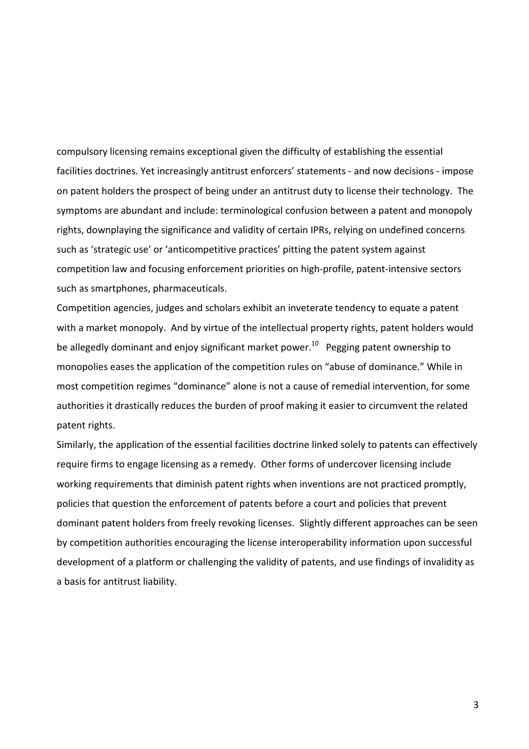compulsory licensing remains exceptional given the difficulty of establishing the essential facilities doctrines. Yet increasingly antitrust enforcers' statements - and now decisions - impose on patent holders the prospect of being under an antitrust duty to license their technology. The symptoms are abundant and include: terminological confusion between a patent and monopoly rights, downplaying the significance and validity of certain IPRs, relying on undefined concerns such as 'strategic use' or 'anticompetitive practices' pitting the patent system against competition law and focusing enforcement priorities on high-profile, patent-intensive sectors such as smartphones, pharmaceuticals.

Competition agencies, judges and scholars exhibit an inveterate tendency to equate a patent with a market monopoly. And by virtue of the intellectual property rights, patent holders would be allegedly dominant and enjoy significant market power.<sup>10</sup> Pegging patent ownership to monopolies eases the application of the competition rules on "abuse of dominance." While in most competition regimes "dominance" alone is not a cause of remedial intervention, for some authorities it drastically reduces the burden of proof making it easier to circumvent the related patent rights.

Similarly, the application of the essential facilities doctrine linked solely to patents can effectively require firms to engage licensing as a remedy. Other forms of undercover licensing include working requirements that diminish patent rights when inventions are not practiced promptly, policies that question the enforcement of patents before a court and policies that prevent dominant patent holders from freely revoking licenses. Slightly different approaches can be seen by competition authorities encouraging the license interoperability information upon successful development of a platform or challenging the validity of patents, and use findings of invalidity as a basis for antitrust liability.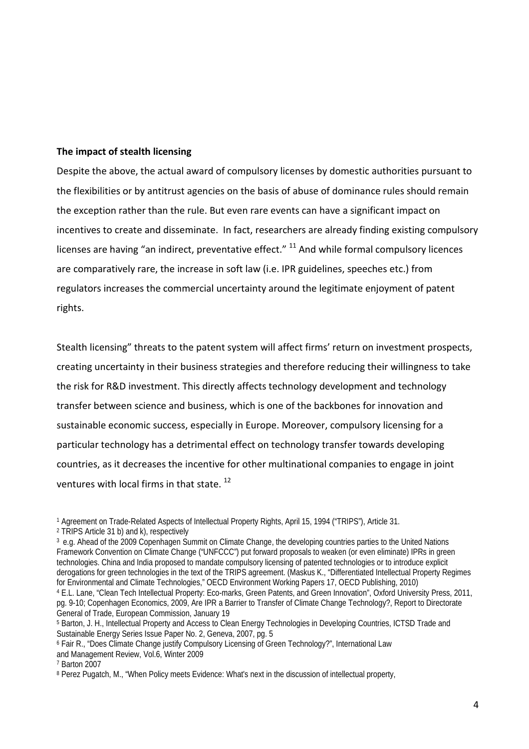### **The impact of stealth licensing**

Despite the above, the actual award of compulsory licenses by domestic authorities pursuant to the flexibilities or by antitrust agencies on the basis of abuse of dominance rules should remain the exception rather than the rule. But even rare events can have a significant impact on incentives to create and disseminate. In fact, researchers are already finding existing compulsory licenses are having "an indirect, preventative effect." <sup>11</sup> And while formal compulsory licences are comparatively rare, the increase in soft law (i.e. IPR guidelines, speeches etc.) from regulators increases the commercial uncertainty around the legitimate enjoyment of patent rights.

Stealth licensing" threats to the patent system will affect firms' return on investment prospects, creating uncertainty in their business strategies and therefore reducing their willingness to take the risk for R&D investment. This directly affects technology development and technology transfer between science and business, which is one of the backbones for innovation and sustainable economic success, especially in Europe. Moreover, compulsory licensing for a particular technology has a detrimental effect on technology transfer towards developing countries, as it decreases the incentive for other multinational companies to engage in joint ventures with local firms in that state.  $^{12}$ 

<sup>2</sup> TRIPS Article 31 b) and k), respectively

<sup>3</sup> e.g. Ahead of the 2009 Copenhagen Summit on Climate Change, the developing countries parties to the United Nations Framework Convention on Climate Change ("UNFCCC") put forward proposals to weaken (or even eliminate) IPRs in green technologies. China and India proposed to mandate compulsory licensing of patented technologies or to introduce explicit derogations for green technologies in the text of the TRIPS agreement. (Maskus K., "Differentiated Intellectual Property Regimes for Environmental and Climate Technologies," OECD Environment Working Papers 17, OECD Publishing, 2010) <sup>4</sup> E.L. Lane, "Clean Tech Intellectual Property: Eco-marks, Green Patents, and Green Innovation", Oxford University Press, 2011, pg. 9-10; Copenhagen Economics, 2009, Are IPR a Barrier to Transfer of Climate Change Technology?, Report to Directorate General of Trade, European Commission, January 19

<sup>7</sup> Barton 2007

<sup>1</sup> Agreement on Trade-Related Aspects of Intellectual Property Rights, April 15, 1994 ("TRIPS"), Article 31.

<sup>&</sup>lt;sup>5</sup> Barton, J. H., Intellectual Property and Access to Clean Energy Technologies in Developing Countries, ICTSD Trade and Sustainable Energy Series Issue Paper No. 2, Geneva, 2007, pg. 5

<sup>6</sup> Fair R., "Does Climate Change justify Compulsory Licensing of Green Technology?", International Law and Management Review, Vol.6, Winter 2009

<sup>8</sup> Perez Pugatch, M., "When Policy meets Evidence: What's next in the discussion of intellectual property,